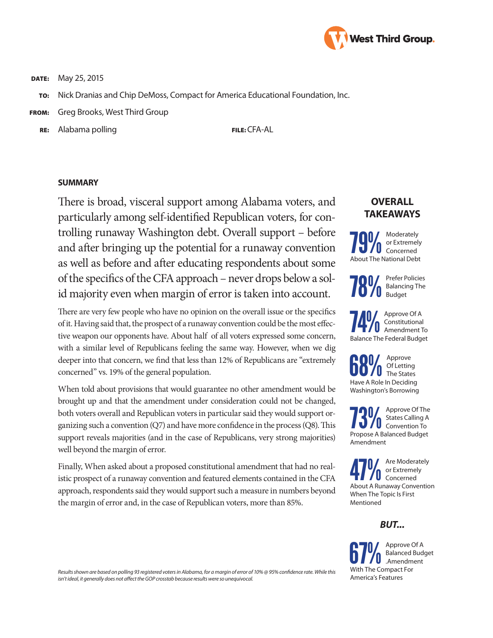

**DATE:** May 25, 2015

- TO: Nick Dranias and Chip DeMoss, Compact for America Educational Foundation, Inc.
- FROM: Greg Brooks, West Third Group
	- RE: Alabama polling FILE: CFA-AL

## **SUMMARY**

There is broad, visceral support among Alabama voters, and particularly among self-identified Republican voters, for controlling runaway Washington debt. Overall support – before and after bringing up the potential for a runaway convention as well as before and after educating respondents about some of the specifics of the CFA approach – never drops below a solid majority even when margin of error is taken into account.

There are very few people who have no opinion on the overall issue or the specifics of it. Having said that, the prospect of a runaway convention could be the most effective weapon our opponents have. About half of all voters expressed some concern, with a similar level of Republicans feeling the same way. However, when we dig deeper into that concern, we find that less than 12% of Republicans are "extremely concerned" vs. 19% of the general population.

When told about provisions that would guarantee no other amendment would be brought up and that the amendment under consideration could not be changed, both voters overall and Republican voters in particular said they would support organizing such a convention (Q7) and have more confidence in the process (Q8). This support reveals majorities (and in the case of Republicans, very strong majorities) well beyond the margin of error.

Finally, When asked about a proposed constitutional amendment that had no realistic prospect of a runaway convention and featured elements contained in the CFA approach, respondents said they would support such a measure in numbers beyond the margin of error and, in the case of Republican voters, more than 85%.

## **OVERALL TAKEAWAYS**





**78%** Prefer Policies<br>**78%** Balancing The Balancing The Budget

**74%** Approve Of A<br> **74%** Constitutional<br> **830006 The Endorse Budge** Constitutional Amendment To Balance The Federal Budget

**68%** Approve<br>The States<br>Have A Pole in Deciding Of Letting Have A Role In Deciding Washington's Borrowing

**73 M**<br>States Calling A<br>Propose A Balanced Budget States Calling A Convention To Amendment

**ATM** Are Moderately<br> **About A Runaway Convention** or Extremely Concerned When The Topic Is First Mentioned

*BUT...*



*Results shown are based on polling 93 registered voters in Alabama, for a margin of error of 10% @ 95% confidence rate. While this isn't ideal, it generally does not affect the GOP crosstab because results were so unequivocal.*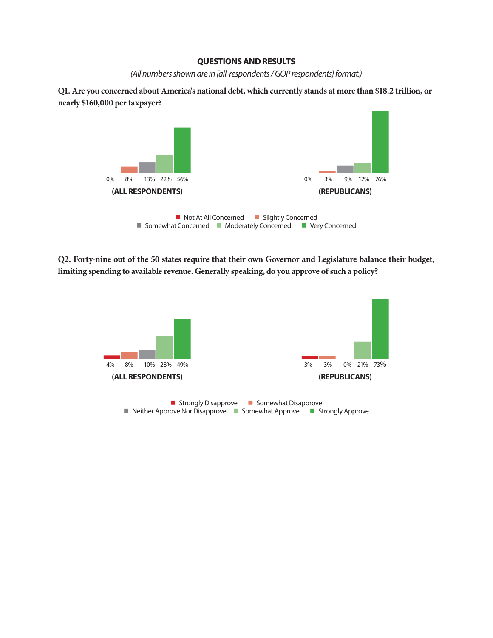## **QUESTIONS AND RESULTS**

*(All numbers shown are in [all-respondents / GOP respondents] format.)*

**Q1. Are you concerned about America's national debt, which currently stands at more than \$18.2 trillion, or nearly \$160,000 per taxpayer?**



**Q2. Forty-nine out of the 50 states require that their own Governor and Legislature balance their budget, limiting spending to available revenue. Generally speaking, do you approve of such a policy?**

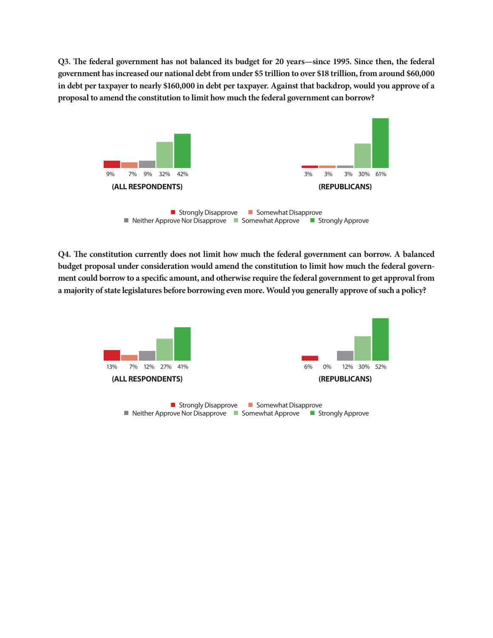**Q3. The federal government has not balanced its budget for 20 years—since 1995. Since then, the federal government has increased our national debt from under \$5 trillion to over \$18 trillion, from around \$60,000 in debt per taxpayer to nearly \$160,000 in debt per taxpayer. Against that backdrop, would you approve of a proposal to amend the constitution to limit how much the federal government can borrow?**



**Q4. The constitution currently does not limit how much the federal government can borrow. A balanced budget proposal under consideration would amend the constitution to limit how much the federal government could borrow to a specific amount, and otherwise require the federal government to get approval from a majority of state legislatures before borrowing even more. Would you generally approve of such a policy?**

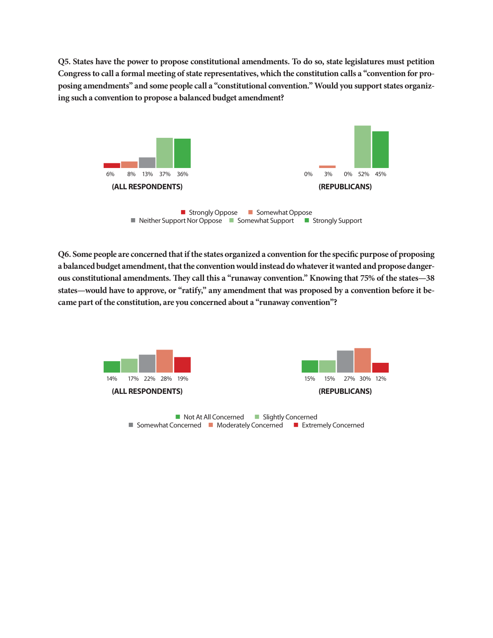**Q5. States have the power to propose constitutional amendments. To do so, state legislatures must petition Congress to call a formal meeting of state representatives, which the constitution calls a "convention for proposing amendments" and some people call a "constitutional convention." Would you support states organizing such a convention to propose a balanced budget amendment?**



 $\blacksquare$  Neither Support Nor Oppose  $\blacksquare$  Somewhat Support  $\blacksquare$  Strongly Support

**Q6. Some people are concerned that if the states organized a convention for the specific purpose of proposing a balanced budget amendment, that the convention would instead do whatever it wanted and propose dangerous constitutional amendments. They call this a "runaway convention." Knowing that 75% of the states—38 states—would have to approve, or "ratify," any amendment that was proposed by a convention before it became part of the constitution, are you concerned about a "runaway convention"?**

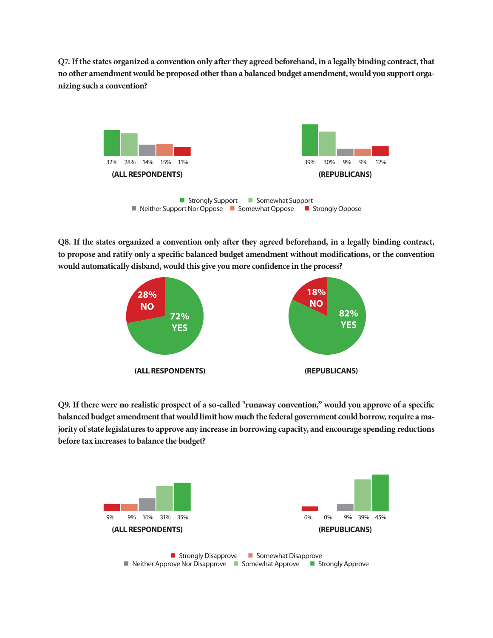**Q7. If the states organized a convention only after they agreed beforehand, in a legally binding contract, that no other amendment would be proposed other than a balanced budget amendment, would you support organizing such a convention?** 



**Q8. If the states organized a convention only after they agreed beforehand, in a legally binding contract, to propose and ratify only a specific balanced budget amendment without modifications, or the convention would automatically disband, would this give you more confidence in the process?**



**Q9. If there were no realistic prospect of a so-called "runaway convention," would you approve of a specific balanced budget amendment that would limit how much the federal government could borrow, require a majority of state legislatures to approve any increase in borrowing capacity, and encourage spending reductions before tax increases to balance the budget?**